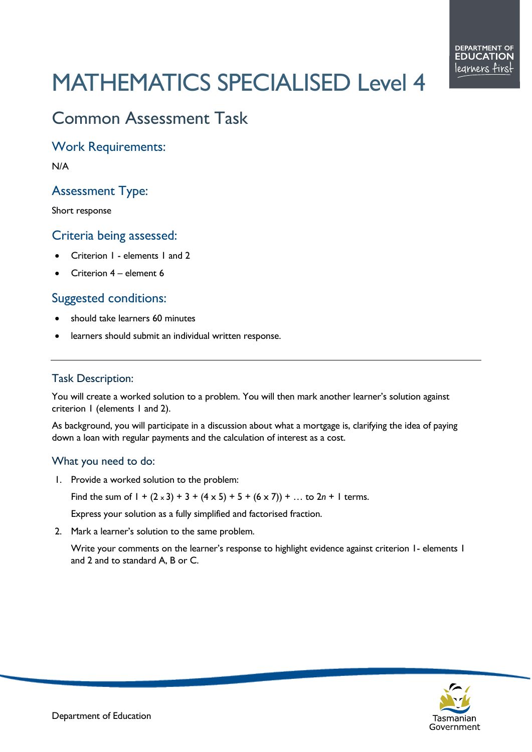# MATHEMATICS SPECIALISED Level 4

# Common Assessment Task

Work Requirements:

N/A

# Assessment Type:

Short response

### Criteria being assessed:

- Criterion 1 elements 1 and 2
- Criterion 4 element 6

## Suggested conditions:

- should take learners 60 minutes
- learners should submit an individual written response.

#### Task Description:

You will create a worked solution to a problem. You will then mark another learner's solution against criterion 1 (elements 1 and 2).

As background, you will participate in a discussion about what a mortgage is, clarifying the idea of paying down a loan with regular payments and the calculation of interest as a cost.

#### What you need to do:

1. Provide a worked solution to the problem:

Find the sum of  $1 + (2 \times 3) + 3 + (4 \times 5) + 5 + (6 \times 7)) + ...$  to  $2n + 1$  terms.

Express your solution as a fully simplified and factorised fraction.

2. Mark a learner's solution to the same problem.

Write your comments on the learner's response to highlight evidence against criterion 1- elements 1 and 2 and to standard A, B or C.

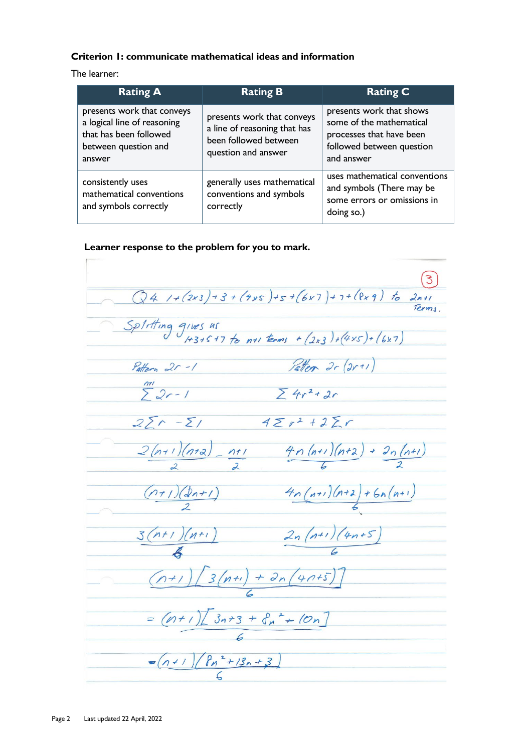#### **Criterion 1: communicate mathematical ideas and information**

The learner:

| <b>Rating A</b>                                                                                                       | <b>Rating B</b>                                                                                            | <b>Rating C</b>                                                                                                             |
|-----------------------------------------------------------------------------------------------------------------------|------------------------------------------------------------------------------------------------------------|-----------------------------------------------------------------------------------------------------------------------------|
| presents work that conveys<br>a logical line of reasoning<br>that has been followed<br>between question and<br>answer | presents work that conveys<br>a line of reasoning that has<br>been followed between<br>question and answer | presents work that shows<br>some of the mathematical<br>processes that have been<br>followed between question<br>and answer |
| consistently uses<br>mathematical conventions<br>and symbols correctly                                                | generally uses mathematical<br>conventions and symbols<br>correctly                                        | uses mathematical conventions<br>and symbols (There may be<br>some errors or omissions in<br>doing so.)                     |

#### **Learner response to the problem for you to mark.**

 $Q4/7(2x3)+3+(4x5)+5+(6x7)+7+(8x9)$  to  $2n+1$ <br>Terms. Splitting gives us<br>It3+5+7 to n+1 terms + (2x3)+ (4x5)+ (6x7) Pattern 2r -1<br>
Pattern 2r -1<br>  $\sum 2r - 1$ <br>  $\sum 4r^2 + 3r$  $2\sum r - \sum 1$   $4\sum r^2 + 2\sum r$  $\frac{2(n+1)(n+2)}{2} - \frac{n+1}{2} = \frac{4n(n+1)(n+2) + 2n(n+1)}{6}$  $(n+1)(2n+1)$  4n(n+1)(n+2)+6n(n+1)<br>2 6  $\frac{3(n+1)(n+1)}{6}$  2n (n+1)(4n+5)  $(n+1)\left[3(n+1)+2n(4n+5)\right]$ =  $(n+1)\sqrt{3n+3} + 6n^{2} + (On)$  $=(n+1)(8n^2+13n+3)$